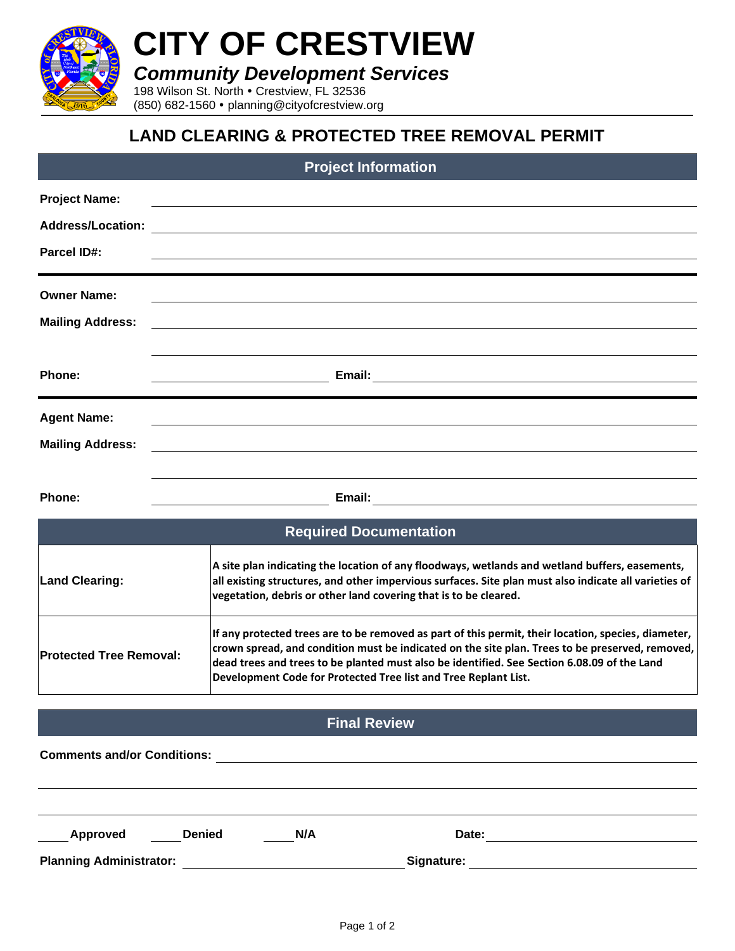

# **CITY OF CRESTVIEW**

*Community Development Services*

198 Wilson St. North . Crestview, FL 32536 (850) 682-1560 planning@cityofcrestview.org

## **LAND CLEARING & PROTECTED TREE REMOVAL PERMIT**

#### **Project Information**

| <b>Project Name:</b>     | <u> 1980 - Johann Stein, marwolaethau a bhann an t-Amhair an t-Amhair an t-Amhair an t-Amhair an t-Amhair an t-A</u>  |
|--------------------------|-----------------------------------------------------------------------------------------------------------------------|
| <b>Address/Location:</b> |                                                                                                                       |
| <b>Parcel ID#:</b>       |                                                                                                                       |
| <b>Owner Name:</b>       | <u> 1989 - Johann Stoff, deutscher Stoff, der Stoff, der Stoff, der Stoff, der Stoff, der Stoff, der Stoff, der S</u> |
| <b>Mailing Address:</b>  | <u> Andreas Andreas Andreas Andreas Andreas Andreas Andreas Andreas Andreas Andreas Andreas Andreas Andreas Andr</u>  |
| <b>Phone:</b>            | Email:                                                                                                                |
| <b>Agent Name:</b>       |                                                                                                                       |
| <b>Mailing Address:</b>  | <u> 1989 - Andrea Andrew Maria (h. 1989).</u>                                                                         |

**Phone: Email:**

| <b>Required Documentation</b>  |                                                                                                                                                                                                                                                                                                                                                                          |  |  |  |  |
|--------------------------------|--------------------------------------------------------------------------------------------------------------------------------------------------------------------------------------------------------------------------------------------------------------------------------------------------------------------------------------------------------------------------|--|--|--|--|
| <b>Land Clearing:</b>          | A site plan indicating the location of any floodways, wetlands and wetland buffers, easements,<br>all existing structures, and other impervious surfaces. Site plan must also indicate all varieties of<br>vegetation, debris or other land covering that is to be cleared.                                                                                              |  |  |  |  |
| <b>Protected Tree Removal:</b> | If any protected trees are to be removed as part of this permit, their location, species, diameter,<br>crown spread, and condition must be indicated on the site plan. Trees to be preserved, removed,<br>dead trees and trees to be planted must also be identified. See Section 6.08.09 of the Land<br>Development Code for Protected Tree list and Tree Replant List. |  |  |  |  |

#### **Final Review**

| <b>Comments and/or Conditions:</b> |               |     |            |  |  |
|------------------------------------|---------------|-----|------------|--|--|
|                                    |               |     |            |  |  |
|                                    |               |     |            |  |  |
| Approved                           | <b>Denied</b> | N/A | Date:      |  |  |
| <b>Planning Administrator:</b>     |               |     | Signature: |  |  |